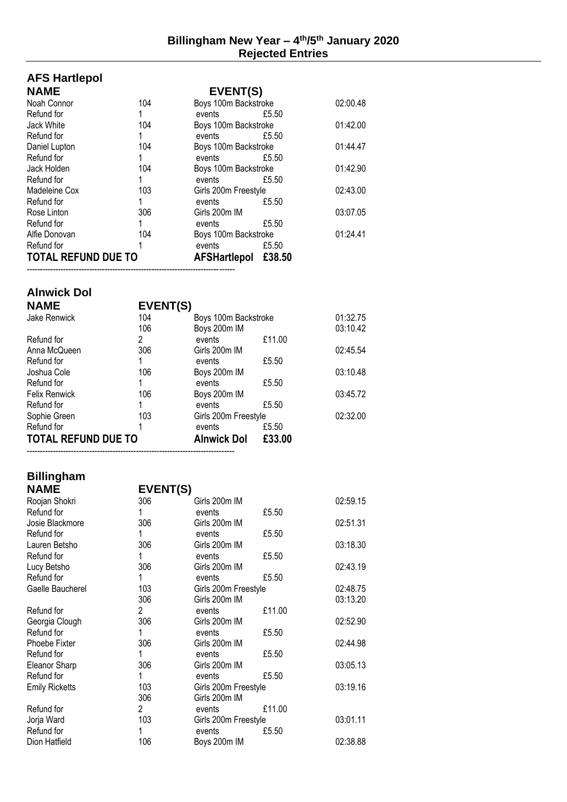# **AFS Hartlepol**

| <b>NAME</b>                | EVENT(S) |                      |        |          |
|----------------------------|----------|----------------------|--------|----------|
| Noah Connor                | 104      | Boys 100m Backstroke |        | 02:00.48 |
| Refund for                 |          | events               | £5.50  |          |
| Jack White                 | 104      | Boys 100m Backstroke |        | 01:42.00 |
| Refund for                 |          | events               | £5.50  |          |
| Daniel Lupton              | 104      | Boys 100m Backstroke |        | 01:44.47 |
| Refund for                 |          | events               | £5.50  |          |
| Jack Holden                | 104      | Boys 100m Backstroke |        | 01:42.90 |
| Refund for                 | 1        | events               | £5.50  |          |
| Madeleine Cox              | 103      | Girls 200m Freestyle |        | 02:43.00 |
| Refund for                 | 1        | events               | £5.50  |          |
| Rose Linton                | 306      | Girls 200m IM        |        | 03:07.05 |
| Refund for                 |          | events               | £5.50  |          |
| Alfie Donovan              | 104      | Boys 100m Backstroke |        | 01:24.41 |
| Refund for                 |          | events               | £5.50  |          |
| <b>TOTAL REFUND DUE TO</b> |          | <b>AFSHartlepol</b>  | £38.50 |          |
|                            |          |                      |        |          |

### **Alnwick Dol**

| AIIIWIUR DUI               |          |                      |        |          |
|----------------------------|----------|----------------------|--------|----------|
| <b>NAME</b>                | EVENT(S) |                      |        |          |
| Jake Renwick               | 104      | Boys 100m Backstroke |        | 01:32.75 |
|                            | 106      | Boys 200m IM         |        | 03:10.42 |
| Refund for                 | 2        | events               | £11.00 |          |
| Anna McQueen               | 306      | Girls 200m IM        |        | 02:45.54 |
| Refund for                 |          | events               | £5.50  |          |
| Joshua Cole                | 106      | Boys 200m IM         |        | 03:10.48 |
| Refund for                 |          | events               | £5.50  |          |
| <b>Felix Renwick</b>       | 106      | Boys 200m IM         |        | 03:45.72 |
| Refund for                 |          | events               | £5.50  |          |
| Sophie Green               | 103      | Girls 200m Freestyle |        | 02:32.00 |
| Refund for                 |          | events               | £5.50  |          |
| <b>TOTAL REFUND DUE TO</b> |          | <b>Alnwick Dol</b>   | £33.00 |          |
|                            |          |                      |        |          |

## **Billingham**

| <b>NAME</b>           | EVENT(S)             |                      |        |          |
|-----------------------|----------------------|----------------------|--------|----------|
| Roojan Shokri         | 306                  | Girls 200m IM        |        | 02:59.15 |
| Refund for            |                      | events               | £5.50  |          |
| Josie Blackmore       | 306                  | Girls 200m IM        |        | 02:51.31 |
| Refund for            |                      | events               | £5.50  |          |
| Lauren Betsho         | 306                  | Girls 200m IM        |        | 03:18.30 |
| Refund for            |                      | events               | £5.50  |          |
| Lucy Betsho           | 306                  | Girls 200m IM        |        | 02:43.19 |
| Refund for            | 1                    | events               | £5.50  |          |
| Gaelle Baucherel      | 103                  | Girls 200m Freestyle |        | 02:48.75 |
|                       | 306                  | Girls 200m IM        |        | 03:13.20 |
| Refund for            | $\mathbf{2}^{\circ}$ | events               | £11.00 |          |
| Georgia Clough        | 306                  | Girls 200m IM        |        | 02:52.90 |
| Refund for            | 1                    | events               | £5.50  |          |
| <b>Phoebe Fixter</b>  | 306                  | Girls 200m IM        |        | 02:44.98 |
| Refund for            | 1                    | events               | £5.50  |          |
| Eleanor Sharp         | 306                  | Girls 200m IM        |        | 03:05.13 |
| Refund for            | 1                    | events               | £5.50  |          |
| <b>Emily Ricketts</b> | 103                  | Girls 200m Freestyle |        | 03:19.16 |
|                       | 306                  | Girls 200m IM        |        |          |
| Refund for            | 2                    | events               | £11.00 |          |
| Jorja Ward            | 103                  | Girls 200m Freestyle |        | 03:01.11 |
| Refund for            | 1                    | events               | £5.50  |          |
| Dion Hatfield         | 106                  | Boys 200m IM         |        | 02:38.88 |
|                       |                      |                      |        |          |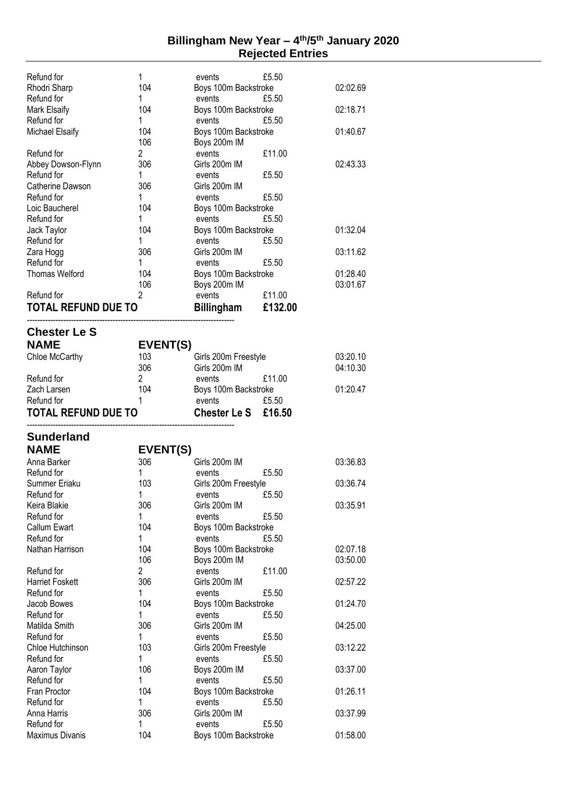#### **Billingham New Year – 4 th /5th January 2020 Rejected Entries**

| Refund for                    | 1              | events                         | £5.50   |          |
|-------------------------------|----------------|--------------------------------|---------|----------|
| Rhodri Sharp                  | 104            | Boys 100m Backstroke           |         | 02:02.69 |
| Refund for                    | 1              | events                         | £5.50   |          |
| Mark Elsaify                  | 104            | Boys 100m Backstroke           |         | 02:18.71 |
| Refund for                    | 1              | events                         | £5.50   |          |
| <b>Michael Elsaify</b>        | 104            | Boys 100m Backstroke           |         | 01:40.67 |
|                               | 106            | Boys 200m IM                   |         |          |
| Refund for                    | $\overline{c}$ | events                         | £11.00  |          |
| Abbey Dowson-Flynn            | 306            | Girls 200m IM                  |         | 02:43.33 |
| Refund for                    | 1              | events                         | £5.50   |          |
| Catherine Dawson              | 306            | Girls 200m IM                  |         |          |
| Refund for                    | 1              | events                         | £5.50   |          |
| Loic Baucherel                | 104            | Boys 100m Backstroke           |         |          |
| Refund for                    | 1              | events                         | £5.50   |          |
| Jack Taylor                   | 104            | Boys 100m Backstroke           |         | 01:32.04 |
| Refund for                    | 1              | events                         | £5.50   |          |
| Zara Hogg                     | 306            | Girls 200m IM                  |         | 03:11.62 |
| Refund for                    | 1              | events                         | £5.50   |          |
| <b>Thomas Welford</b>         | 104            | Boys 100m Backstroke           |         | 01:28.40 |
|                               | 106            | Boys 200m IM                   |         | 03:01.67 |
| Refund for                    | 2              | events                         | £11.00  |          |
| TOTAL REFUND DUE TO           |                | <b>Billingham</b>              | £132.00 |          |
|                               |                |                                |         |          |
| <b>Chester Le S</b>           |                |                                |         |          |
| <b>NAME</b>                   | EVENT(S)       |                                |         |          |
| Chloe McCarthy                | 103            | Girls 200m Freestyle           |         | 03:20.10 |
|                               | 306            | Girls 200m IM                  |         | 04:10.30 |
| Refund for                    | 2              | events                         | £11.00  |          |
| Zach Larsen                   | 104            | Boys 100m Backstroke           |         | 01:20.47 |
| Refund for                    | 1              | events                         | £5.50   |          |
|                               |                |                                |         |          |
| TOTAL REFUND DUE TO           |                | <b>Chester Le S</b>            | £16.50  |          |
|                               |                |                                |         |          |
| <b>Sunderland</b>             |                |                                |         |          |
| <b>NAME</b>                   | EVENT(S)       |                                |         |          |
| Anna Barker                   | 306            | Girls 200m IM                  |         | 03:36.83 |
| Refund for                    | 1              | events                         | £5.50   |          |
| Summer Eriaku                 | 103            | Girls 200m Freestyle           |         | 03:36.74 |
| Refund for                    | 1              | events                         | £5.50   |          |
| Keira Blakie                  | 306            | Girls 200m IM                  |         | 03:35.91 |
| Refund for                    | 1              | events                         | £5.50   |          |
| Callum Ewart                  | 104            | Boys 100m Backstroke           |         |          |
| Refund for                    | 1              | events                         | £5.50   |          |
| Nathan Harrison               | 104            | Boys 100m Backstroke           |         | 02:07.18 |
|                               | 106            | Boys 200m IM                   |         | 03:50.00 |
| Refund for                    | $\overline{c}$ | events                         | £11.00  |          |
| <b>Harriet Foskett</b>        | 306<br>1       | Girls 200m IM                  |         | 02:57.22 |
| Refund for                    |                | events                         | £5.50   |          |
| Jacob Bowes<br>Refund for     | 104<br>1       | Boys 100m Backstroke           | £5.50   | 01:24.70 |
| Matilda Smith                 | 306            | events<br>Girls 200m IM        |         | 04:25.00 |
| Refund for                    | 1              | events                         | £5.50   |          |
| Chloe Hutchinson              | 103            | Girls 200m Freestyle           |         | 03:12.22 |
| Refund for                    | 1              | events                         | £5.50   |          |
| Aaron Taylor                  | 106            | Boys 200m IM                   |         | 03:37.00 |
| Refund for                    | 1              | events                         | £5.50   |          |
| Fran Proctor                  | 104            | Boys 100m Backstroke           |         | 01:26.11 |
| Refund for                    | 1              | events                         | £5.50   |          |
| Anna Harris                   | 306            | Girls 200m IM                  |         | 03:37.99 |
| Refund for<br>Maximus Divanis | 1<br>104       | events<br>Boys 100m Backstroke | £5.50   | 01:58.00 |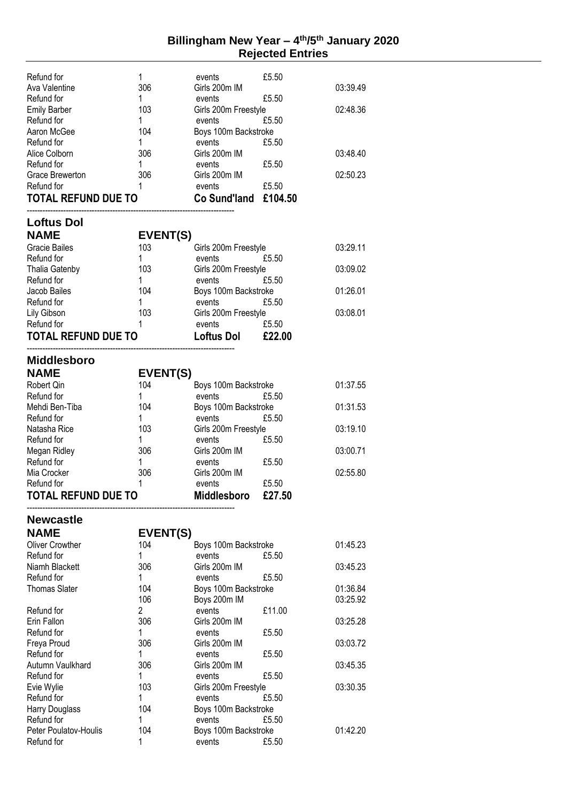#### **Billingham New Year – 4 th /5th January 2020 Rejected Entries**

| Refund for<br>Ava Valentine<br>Refund for | 1<br>306<br>1  | events<br>Girls 200m IM                  | £5.50<br>£5.50 | 03:39.49 |
|-------------------------------------------|----------------|------------------------------------------|----------------|----------|
| <b>Emily Barber</b><br>Refund for         | 103<br>1       | events<br>Girls 200m Freestyle<br>events | £5.50          | 02:48.36 |
| Aaron McGee                               | 104            | Boys 100m Backstroke                     |                |          |
| Refund for                                | 1              | events                                   | £5.50          |          |
| Alice Colborn                             | 306            | Girls 200m IM                            |                | 03:48.40 |
| Refund for<br>Grace Brewerton             | 1<br>306       | events<br>Girls 200m IM                  | £5.50          | 02:50.23 |
| Refund for                                | 1              | events                                   | £5.50          |          |
| <b>TOTAL REFUND DUE TO</b>                |                | Co Sund'land £104.50                     |                |          |
|                                           |                |                                          |                |          |
| <b>Loftus Dol</b><br><b>NAME</b>          | EVENT(S)       |                                          |                |          |
| <b>Gracie Bailes</b>                      | 103            | Girls 200m Freestyle                     |                | 03:29.11 |
| Refund for                                | 1              | events                                   | £5.50          |          |
| <b>Thalia Gatenby</b>                     | 103            | Girls 200m Freestyle                     |                | 03:09.02 |
| Refund for                                | 1              | events                                   | £5.50          |          |
| Jacob Bailes<br>Refund for                | 104<br>1       | Boys 100m Backstroke<br>events           | £5.50          | 01:26.01 |
| Lily Gibson                               | 103            | Girls 200m Freestyle                     |                | 03:08.01 |
| Refund for                                | 1              | events                                   | £5.50          |          |
| <b>TOTAL REFUND DUE TO</b>                |                | <b>Loftus Dol</b>                        | £22.00         |          |
| <b>Middlesboro</b>                        |                |                                          |                |          |
| <b>NAME</b>                               | EVENT(S)       |                                          |                |          |
| Robert Qin                                | 104            | Boys 100m Backstroke                     |                | 01:37.55 |
| Refund for                                | 1              | events                                   | £5.50          |          |
| Mehdi Ben-Tiba                            | 104            | Boys 100m Backstroke                     |                | 01:31.53 |
| Refund for                                | 1              | events                                   | £5.50          |          |
| Natasha Rice                              | 103            | Girls 200m Freestyle                     |                | 03:19.10 |
| Refund for                                | 1<br>306       | events<br>Girls 200m IM                  | £5.50          | 03:00.71 |
| Megan Ridley<br>Refund for                | 1              | events                                   | £5.50          |          |
| Mia Crocker                               | 306            | Girls 200m IM                            |                | 02:55.80 |
| Refund for                                | 1              | events                                   | £5.50          |          |
| <b>TOTAL REFUND DUE TO</b>                |                | <b>Middlesboro</b>                       | £27.50         |          |
| <b>Newcastle</b>                          |                |                                          |                |          |
| <b>NAME</b>                               | EVENT(S)       |                                          |                |          |
| <b>Oliver Crowther</b>                    | 104            | Boys 100m Backstroke                     |                | 01:45.23 |
| Refund for                                | 1              | events                                   | £5.50          |          |
| Niamh Blackett<br>Refund for              | 306<br>1       | Girls 200m IM<br>events                  | £5.50          | 03:45.23 |
| <b>Thomas Slater</b>                      | 104            | Boys 100m Backstroke                     |                | 01:36.84 |
|                                           | 106            | Boys 200m IM                             |                | 03:25.92 |
| Refund for                                | $\overline{2}$ | events                                   | £11.00         |          |
| Erin Fallon                               | 306            | Girls 200m IM                            |                | 03:25.28 |
| Refund for                                | 1              | events                                   | £5.50          |          |
| Freya Proud<br>Refund for                 | 306<br>1       | Girls 200m IM<br>events                  | £5.50          | 03:03.72 |
| Autumn Vaulkhard                          | 306            | Girls 200m IM                            |                | 03:45.35 |
| Refund for                                | 1              | events                                   | £5.50          |          |
| Evie Wylie                                | 103            | Girls 200m Freestyle                     |                | 03:30.35 |
| Refund for                                | 1              | events                                   | £5.50          |          |
| Harry Douglass                            | 104            | Boys 100m Backstroke                     |                |          |
| Refund for<br>Peter Poulatov-Houlis       | 1<br>104       | events                                   | £5.50          | 01:42.20 |
| Refund for                                | 1              | Boys 100m Backstroke<br>events           | £5.50          |          |